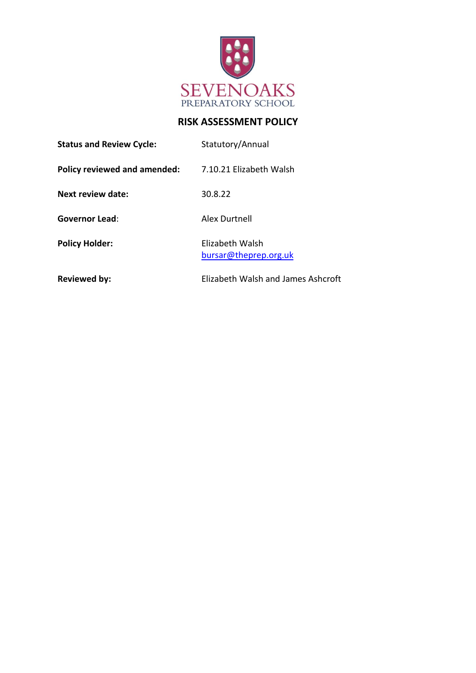

# **RISK ASSESSMENT POLICY**

| <b>Status and Review Cycle:</b> | Statutory/Annual                         |
|---------------------------------|------------------------------------------|
| Policy reviewed and amended:    | 7.10.21 Elizabeth Walsh                  |
| <b>Next review date:</b>        | 30.8.22                                  |
| <b>Governor Lead:</b>           | Alex Durtnell                            |
| <b>Policy Holder:</b>           | Elizabeth Walsh<br>bursar@theprep.org.uk |
| <b>Reviewed by:</b>             | Elizabeth Walsh and James Ashcroft       |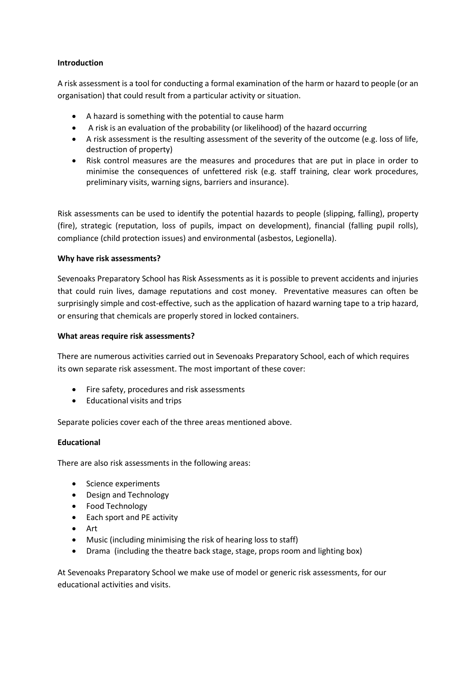## **Introduction**

A risk assessment is a tool for conducting a formal examination of the harm or hazard to people (or an organisation) that could result from a particular activity or situation.

- A hazard is something with the potential to cause harm
- A risk is an evaluation of the probability (or likelihood) of the hazard occurring
- A risk assessment is the resulting assessment of the severity of the outcome (e.g. loss of life, destruction of property)
- Risk control measures are the measures and procedures that are put in place in order to minimise the consequences of unfettered risk (e.g. staff training, clear work procedures, preliminary visits, warning signs, barriers and insurance).

Risk assessments can be used to identify the potential hazards to people (slipping, falling), property (fire), strategic (reputation, loss of pupils, impact on development), financial (falling pupil rolls), compliance (child protection issues) and environmental (asbestos, Legionella).

## **Why have risk assessments?**

Sevenoaks Preparatory School has Risk Assessments as it is possible to prevent accidents and injuries that could ruin lives, damage reputations and cost money. Preventative measures can often be surprisingly simple and cost-effective, such as the application of hazard warning tape to a trip hazard, or ensuring that chemicals are properly stored in locked containers.

### **What areas require risk assessments?**

There are numerous activities carried out in Sevenoaks Preparatory School, each of which requires its own separate risk assessment. The most important of these cover:

- Fire safety, procedures and risk assessments
- Educational visits and trips

Separate policies cover each of the three areas mentioned above.

# **Educational**

There are also risk assessments in the following areas:

- Science experiments
- Design and Technology
- Food Technology
- Each sport and PE activity
- Art
- Music (including minimising the risk of hearing loss to staff)
- Drama (including the theatre back stage, stage, props room and lighting box)

At Sevenoaks Preparatory School we make use of model or generic risk assessments, for our educational activities and visits.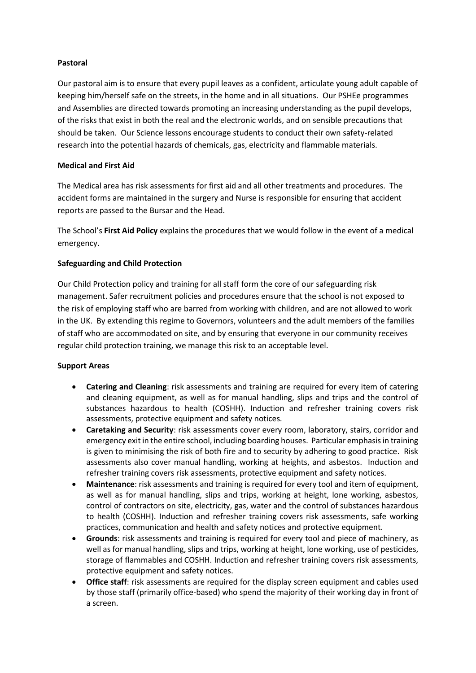## **Pastoral**

Our pastoral aim is to ensure that every pupil leaves as a confident, articulate young adult capable of keeping him/herself safe on the streets, in the home and in all situations. Our PSHEe programmes and Assemblies are directed towards promoting an increasing understanding as the pupil develops, of the risks that exist in both the real and the electronic worlds, and on sensible precautions that should be taken. Our Science lessons encourage students to conduct their own safety-related research into the potential hazards of chemicals, gas, electricity and flammable materials.

## **Medical and First Aid**

The Medical area has risk assessments for first aid and all other treatments and procedures. The accident forms are maintained in the surgery and Nurse is responsible for ensuring that accident reports are passed to the Bursar and the Head.

The School's **First Aid Policy** explains the procedures that we would follow in the event of a medical emergency.

# **Safeguarding and Child Protection**

Our Child Protection policy and training for all staff form the core of our safeguarding risk management. Safer recruitment policies and procedures ensure that the school is not exposed to the risk of employing staff who are barred from working with children, and are not allowed to work in the UK. By extending this regime to Governors, volunteers and the adult members of the families of staff who are accommodated on site, and by ensuring that everyone in our community receives regular child protection training, we manage this risk to an acceptable level.

#### **Support Areas**

- **Catering and Cleaning**: risk assessments and training are required for every item of catering and cleaning equipment, as well as for manual handling, slips and trips and the control of substances hazardous to health (COSHH). Induction and refresher training covers risk assessments, protective equipment and safety notices.
- **Caretaking and Security**: risk assessments cover every room, laboratory, stairs, corridor and emergency exit in the entire school, including boarding houses. Particular emphasis in training is given to minimising the risk of both fire and to security by adhering to good practice. Risk assessments also cover manual handling, working at heights, and asbestos. Induction and refresher training covers risk assessments, protective equipment and safety notices.
- **Maintenance**: risk assessments and training is required for every tool and item of equipment, as well as for manual handling, slips and trips, working at height, lone working, asbestos, control of contractors on site, electricity, gas, water and the control of substances hazardous to health (COSHH). Induction and refresher training covers risk assessments, safe working practices, communication and health and safety notices and protective equipment.
- **Grounds**: risk assessments and training is required for every tool and piece of machinery, as well as for manual handling, slips and trips, working at height, lone working, use of pesticides, storage of flammables and COSHH. Induction and refresher training covers risk assessments, protective equipment and safety notices.
- **Office staff**: risk assessments are required for the display screen equipment and cables used by those staff (primarily office-based) who spend the majority of their working day in front of a screen.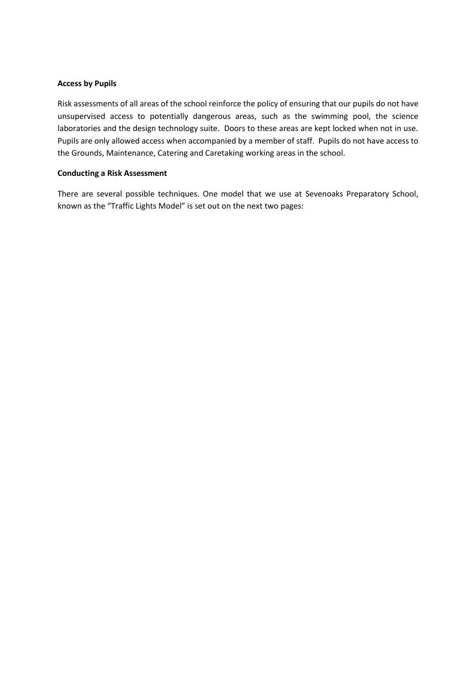#### **Access by Pupils**

Risk assessments of all areas of the school reinforce the policy of ensuring that our pupils do not have unsupervised access to potentially dangerous areas, such as the swimming pool, the science laboratories and the design technology suite. Doors to these areas are kept locked when not in use. Pupils are only allowed access when accompanied by a member of staff. Pupils do not have access to the Grounds, Maintenance, Catering and Caretaking working areas in the school.

## **Conducting a Risk Assessment**

There are several possible techniques. One model that we use at Sevenoaks Preparatory School, known as the "Traffic Lights Model" is set out on the next two pages: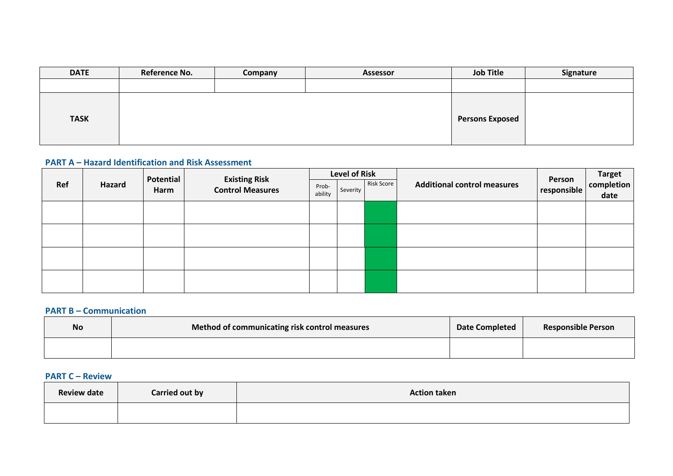| <b>DATE</b> | Reference No. | Company | <b>Assessor</b> | <b>Job Title</b>       | Signature |
|-------------|---------------|---------|-----------------|------------------------|-----------|
|             |               |         |                 |                        |           |
| <b>TASK</b> |               |         |                 | <b>Persons Exposed</b> |           |

# **PART A – Hazard Identification and Risk Assessment**

|     |        | Potential |                                                 |                  | <b>Level of Risk</b> |                   |                                    |                       | Target<br>completion |  |
|-----|--------|-----------|-------------------------------------------------|------------------|----------------------|-------------------|------------------------------------|-----------------------|----------------------|--|
| Ref | Hazard | Harm      | <b>Existing Risk</b><br><b>Control Measures</b> | Prob-<br>ability | Severity             | <b>Risk Score</b> | <b>Additional control measures</b> | Person<br>responsible | date                 |  |
|     |        |           |                                                 |                  |                      |                   |                                    |                       |                      |  |
|     |        |           |                                                 |                  |                      |                   |                                    |                       |                      |  |
|     |        |           |                                                 |                  |                      |                   |                                    |                       |                      |  |
|     |        |           |                                                 |                  |                      |                   |                                    |                       |                      |  |

## **PART B – Communication**

| <b>No</b> | Method of communicating risk control measures | Date Completed | <b>Responsible Person</b> |
|-----------|-----------------------------------------------|----------------|---------------------------|
|           |                                               |                |                           |

# **PART C – Review**

| <b>Review date</b> | Carried out by | <b>Action taken</b> |
|--------------------|----------------|---------------------|
|                    |                |                     |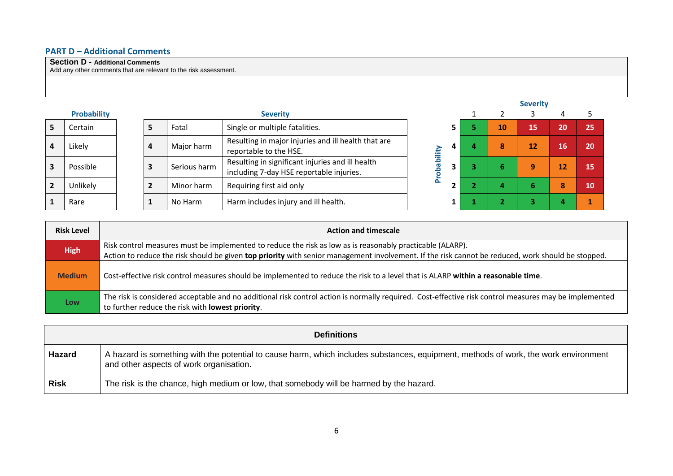# **PART D – Additional Comments**

## **Section D - Additional Comments**

Add any other comments that are relevant to the risk assessment.

|   |                    |                |              |                                                                                              |   |    | <b>Severity</b> |    |    |
|---|--------------------|----------------|--------------|----------------------------------------------------------------------------------------------|---|----|-----------------|----|----|
|   | <b>Probability</b> |                |              | <b>Severity</b>                                                                              |   |    |                 | 4  |    |
|   | Certain            | 5              | Fatal        | Single or multiple fatalities.                                                               |   | 10 | 15              | 20 | 25 |
| 4 | Likely             | 4              | Major harm   | Resulting in major injuries and ill health that are<br>reportable to the HSE.                | 4 | 8  | 12              | 16 | 20 |
| 3 | Possible           | 3              | Serious harm | Resulting in significant injuries and ill health<br>including 7-day HSE reportable injuries. |   | ь  | 9               | 12 | 15 |
|   | <b>Unlikely</b>    | $\overline{2}$ | Minor harm   | Requiring first aid only                                                                     |   |    | ь               | 8  | 10 |
|   | Rare               |                | No Harm      | Harm includes injury and ill health.                                                         |   |    |                 |    |    |



| <b>Risk Level</b> | <b>Action and timescale</b>                                                                                                                                                                                                                                    |
|-------------------|----------------------------------------------------------------------------------------------------------------------------------------------------------------------------------------------------------------------------------------------------------------|
| <b>High</b>       | Risk control measures must be implemented to reduce the risk as low as is reasonably practicable (ALARP).<br>Action to reduce the risk should be given top priority with senior management involvement. If the risk cannot be reduced, work should be stopped. |
| <b>Medium</b>     | Cost-effective risk control measures should be implemented to reduce the risk to a level that is ALARP within a reasonable time.                                                                                                                               |
| Low               | The risk is considered acceptable and no additional risk control action is normally required. Cost-effective risk control measures may be implemented<br>to further reduce the risk with lowest priority.                                                      |

|             | <b>Definitions</b>                                                                                                                                                             |
|-------------|--------------------------------------------------------------------------------------------------------------------------------------------------------------------------------|
| Hazard      | A hazard is something with the potential to cause harm, which includes substances, equipment, methods of work, the work environment<br>and other aspects of work organisation. |
| <b>Risk</b> | The risk is the chance, high medium or low, that somebody will be harmed by the hazard.                                                                                        |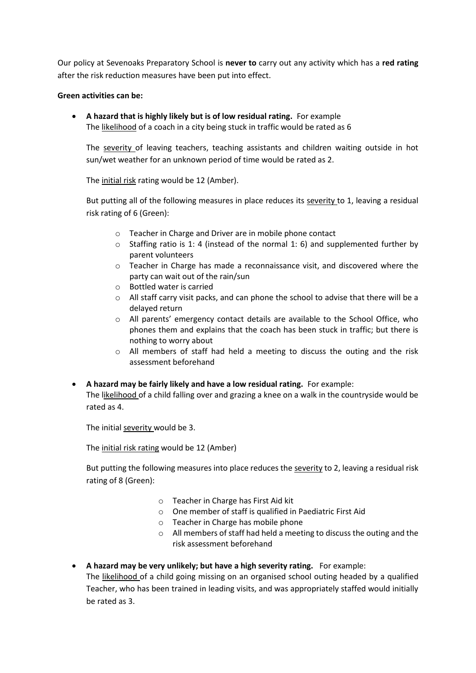Our policy at Sevenoaks Preparatory School is **never to** carry out any activity which has a **red rating** after the risk reduction measures have been put into effect.

### **Green activities can be:**

• **A hazard that is highly likely but is of low residual rating.** For example The likelihood of a coach in a city being stuck in traffic would be rated as 6

The severity of leaving teachers, teaching assistants and children waiting outside in hot sun/wet weather for an unknown period of time would be rated as 2.

The initial risk rating would be 12 (Amber).

But putting all of the following measures in place reduces its severity to 1, leaving a residual risk rating of 6 (Green):

- o Teacher in Charge and Driver are in mobile phone contact
- $\circ$  Staffing ratio is 1: 4 (instead of the normal 1: 6) and supplemented further by parent volunteers
- o Teacher in Charge has made a reconnaissance visit, and discovered where the party can wait out of the rain/sun
- o Bottled water is carried
- $\circ$  All staff carry visit packs, and can phone the school to advise that there will be a delayed return
- o All parents' emergency contact details are available to the School Office, who phones them and explains that the coach has been stuck in traffic; but there is nothing to worry about
- o All members of staff had held a meeting to discuss the outing and the risk assessment beforehand
- **A hazard may be fairly likely and have a low residual rating.** For example: The likelihood of a child falling over and grazing a knee on a walk in the countryside would be rated as 4.

The initial severity would be 3.

The initial risk rating would be 12 (Amber)

But putting the following measures into place reduces the severity to 2, leaving a residual risk rating of 8 (Green):

- o Teacher in Charge has First Aid kit
- o One member of staff is qualified in Paediatric First Aid
- o Teacher in Charge has mobile phone
- o All members of staff had held a meeting to discuss the outing and the risk assessment beforehand
- **A hazard may be very unlikely; but have a high severity rating.** For example: The likelihood of a child going missing on an organised school outing headed by a qualified Teacher, who has been trained in leading visits, and was appropriately staffed would initially be rated as 3.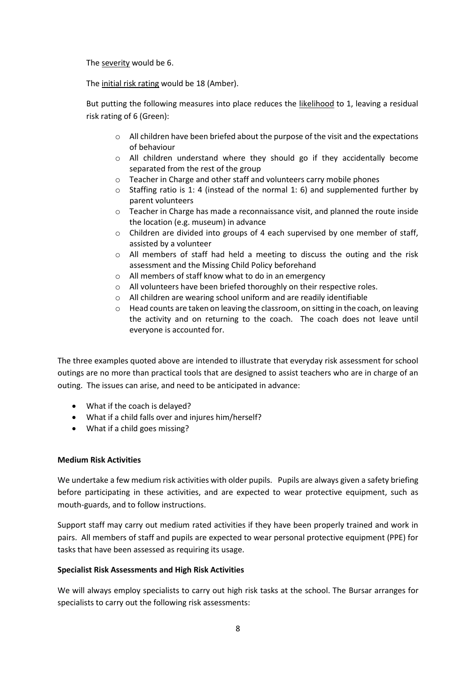The severity would be 6.

The initial risk rating would be 18 (Amber).

But putting the following measures into place reduces the likelihood to 1, leaving a residual risk rating of 6 (Green):

- $\circ$  All children have been briefed about the purpose of the visit and the expectations of behaviour
- o All children understand where they should go if they accidentally become separated from the rest of the group
- o Teacher in Charge and other staff and volunteers carry mobile phones
- $\circ$  Staffing ratio is 1:4 (instead of the normal 1: 6) and supplemented further by parent volunteers
- $\circ$  Teacher in Charge has made a reconnaissance visit, and planned the route inside the location (e.g. museum) in advance
- $\circ$  Children are divided into groups of 4 each supervised by one member of staff, assisted by a volunteer
- $\circ$  All members of staff had held a meeting to discuss the outing and the risk assessment and the Missing Child Policy beforehand
- o All members of staff know what to do in an emergency
- o All volunteers have been briefed thoroughly on their respective roles.
- o All children are wearing school uniform and are readily identifiable
- $\circ$  Head counts are taken on leaving the classroom, on sitting in the coach, on leaving the activity and on returning to the coach. The coach does not leave until everyone is accounted for.

The three examples quoted above are intended to illustrate that everyday risk assessment for school outings are no more than practical tools that are designed to assist teachers who are in charge of an outing. The issues can arise, and need to be anticipated in advance:

- What if the coach is delayed?
- What if a child falls over and injures him/herself?
- What if a child goes missing?

# **Medium Risk Activities**

We undertake a few medium risk activities with older pupils. Pupils are always given a safety briefing before participating in these activities, and are expected to wear protective equipment, such as mouth-guards, and to follow instructions.

Support staff may carry out medium rated activities if they have been properly trained and work in pairs. All members of staff and pupils are expected to wear personal protective equipment (PPE) for tasks that have been assessed as requiring its usage.

# **Specialist Risk Assessments and High Risk Activities**

We will always employ specialists to carry out high risk tasks at the school. The Bursar arranges for specialists to carry out the following risk assessments: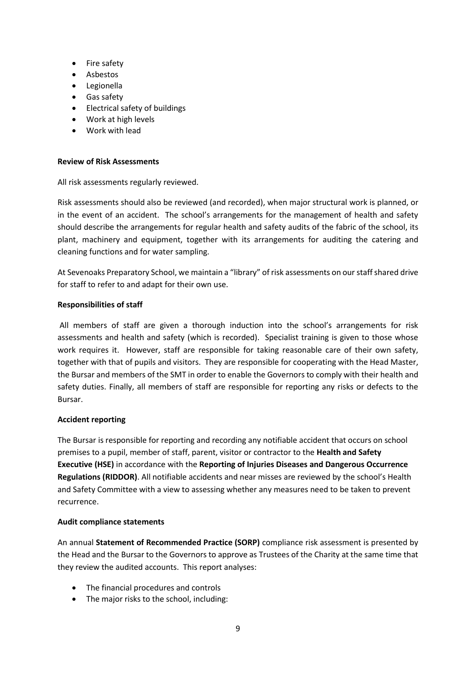- Fire safety
- Asbestos
- Legionella
- Gas safety
- Electrical safety of buildings
- Work at high levels
- Work with lead

#### **Review of Risk Assessments**

All risk assessments regularly reviewed.

Risk assessments should also be reviewed (and recorded), when major structural work is planned, or in the event of an accident. The school's arrangements for the management of health and safety should describe the arrangements for regular health and safety audits of the fabric of the school, its plant, machinery and equipment, together with its arrangements for auditing the catering and cleaning functions and for water sampling.

At Sevenoaks Preparatory School, we maintain a "library" of risk assessments on our staff shared drive for staff to refer to and adapt for their own use.

#### **Responsibilities of staff**

All members of staff are given a thorough induction into the school's arrangements for risk assessments and health and safety (which is recorded). Specialist training is given to those whose work requires it. However, staff are responsible for taking reasonable care of their own safety, together with that of pupils and visitors. They are responsible for cooperating with the Head Master, the Bursar and members of the SMT in order to enable the Governors to comply with their health and safety duties. Finally, all members of staff are responsible for reporting any risks or defects to the Bursar.

#### **Accident reporting**

The Bursar is responsible for reporting and recording any notifiable accident that occurs on school premises to a pupil, member of staff, parent, visitor or contractor to the **Health and Safety Executive (HSE)** in accordance with the **Reporting of Injuries Diseases and Dangerous Occurrence Regulations (RIDDOR)**. All notifiable accidents and near misses are reviewed by the school's Health and Safety Committee with a view to assessing whether any measures need to be taken to prevent recurrence.

#### **Audit compliance statements**

An annual **Statement of Recommended Practice (SORP)** compliance risk assessment is presented by the Head and the Bursar to the Governors to approve as Trustees of the Charity at the same time that they review the audited accounts. This report analyses:

- The financial procedures and controls
- The major risks to the school, including: